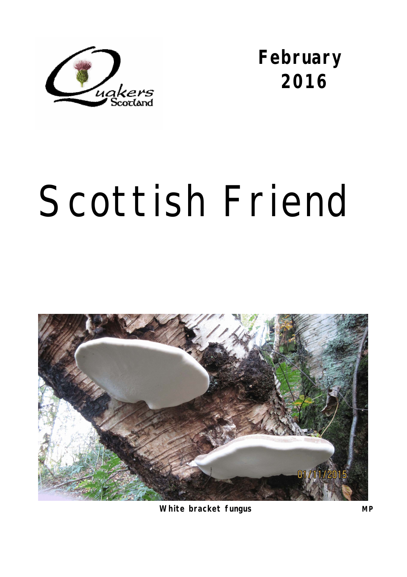

**February 2016** 

# Scottish Friend



**White bracket fungus MP**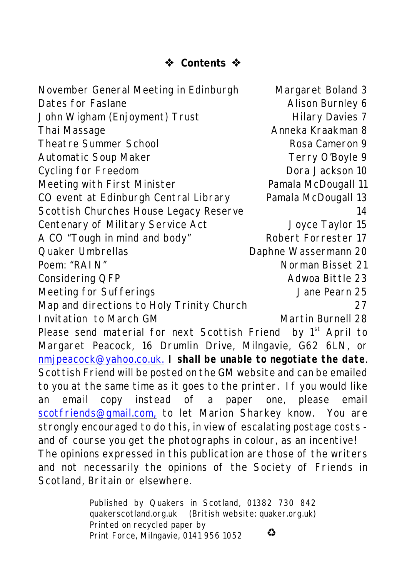# **Contents**

November General Meeting in Edinburgh Margaret Boland 3 Dates for Faslane Alison Burnley 6 John Wigham (Enjoyment) Trust Hilary Davies 7 Thai Massage Anneka Kraakman 8 Theatre Summer School and Rosa Cameron 9 Automatic Soup Maker Terry O'Boyle 9 Cycling for Freedom **Dora Jackson** 10 Meeting with First Minister **Namala McDougall 11** CO event at Edinburgh Central Library Pamala McDougall 13 Scottish Churches House Legacy Reserve 14 Centenary of Military Service Act Joyce Taylor 15 A CO "Tough in mind and body" Robert Forrester 17 Quaker Umbrellas **Daphne Wassermann 20** Poem: "RAIN" Norman Bisset 21 Considering QFP **Adwoa Bittle 23** Meeting for Sufferings The Contract of Meeting 15 Map and directions to Holy Trinity Church 27 Invitation to March GM Martin Burnell 28 Please send material for next *Scottish Friend* by 1<sup>st</sup> April to Margaret Peacock, 16 Drumlin Drive, Milngavie, G62 6LN, or [nmjpeacock@yahoo.co.uk.](mailto:nmjpeacock@yahoo.co.uk.) **I shall be unable to negotiate the date**. *Scottish Friend* will be posted on the GM website and can be emailed to you at the same time as it goes to the printer. If you would like an email copy instead of a paper one, please email [scotfriends@gmail.com,](mailto:scotfriends@aol.com,) to let Marion Sharkey know. You are strongly encouraged to do this, in view of escalating postage costs and of course you get the photographs in colour, as an incentive! The opinions expressed in this publication are those of the writers and not necessarily the opinions of the Society of Friends in Scotland, Britain or elsewhere.

> Published by Quakers in Scotland, 01382 730 842 quakerscotland.org.uk (British website: quaker.org.uk) Printed on recycled paper by € Print Force, Milngavie, 0141 956 1052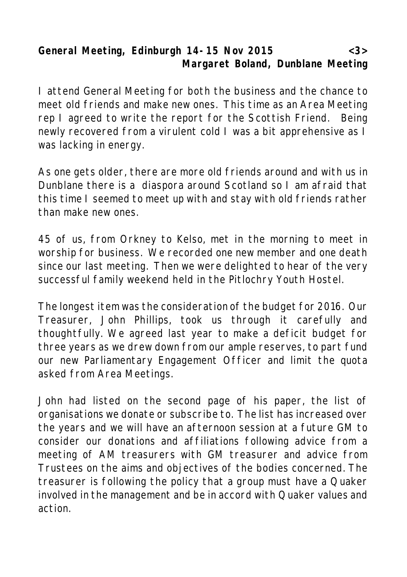**General Meeting, Edinburgh 14-15 Nov 2015 <3> Margaret Boland, Dunblane Meeting**

I attend General Meeting for both the business and the chance to meet old friends and make new ones. This time as an Area Meeting rep I agreed to write the report for the *Scottish Friend*. Being newly recovered from a virulent cold I was a bit apprehensive as I was lacking in energy.

As one gets older, there are more old friends around and with us in Dunblane there is a diaspora around Scotland so I am afraid that this time I seemed to meet up with and stay with old friends rather than make new ones.

45 of us, from Orkney to Kelso, met in the morning to meet in worship for business. We recorded one new member and one death since our last meeting. Then we were delighted to hear of the very successful family weekend held in the Pitlochry Youth Hostel.

The longest item was the consideration of the budget for 2016. Our Treasurer, John Phillips, took us through it carefully and thoughtfully. We agreed last year to make a deficit budget for three years as we drew down from our ample reserves, to part fund our new Parliamentary Engagement Officer and limit the quota asked from Area Meetings.

John had listed on the second page of his paper, the list of organisations we donate or subscribe to. The list has increased over the years and we will have an afternoon session at a future GM to consider our donations and affiliations following advice from a meeting of AM treasurers with GM treasurer and advice from Trustees on the aims and objectives of the bodies concerned. The treasurer is following the policy that a group must have a Quaker involved in the management and be in accord with Quaker values and action.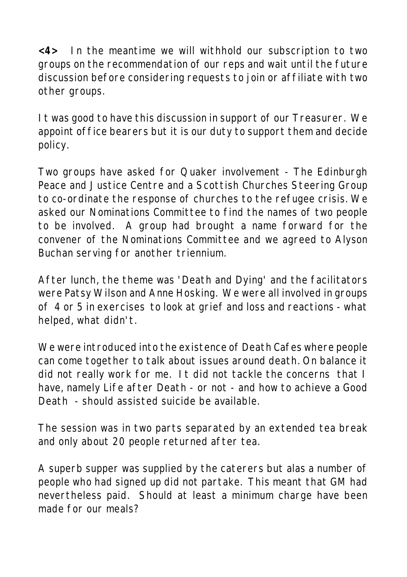**<4>** In the meantime we will withhold our subscription to two groups on the recommendation of our reps and wait until the future discussion before considering requests to join or affiliate with two other groups.

It was good to have this discussion in support of our Treasurer. We appoint office bearers but it is our duty to support them and decide policy.

Two groups have asked for Quaker involvement - The Edinburgh Peace and Justice Centre and a Scottish Churches Steering Group to co-ordinate the response of churches to the refugee crisis. We asked our Nominations Committee to find the names of two people to be involved. A group had brought a name forward for the convener of the Nominations Committee and we agreed to Alyson Buchan serving for another triennium.

After lunch, the theme was 'Death and Dying' and the facilitators were Patsy Wilson and Anne Hosking. We were all involved in groups of 4 or 5 in exercises to look at grief and loss and reactions - what helped, what didn't.

We were introduced into the existence of Death Cafes where people can come together to talk about issues around death. On balance it did not really work for me. It did not tackle the concerns that I have, namely Life after Death - or not - and how to achieve a Good Death - should assisted suicide be available.

The session was in two parts separated by an extended tea break and only about 20 people returned after tea.

A superb supper was supplied by the caterers but alas a number of people who had signed up did not partake. This meant that GM had nevertheless paid. Should at least a minimum charge have been made for our meals?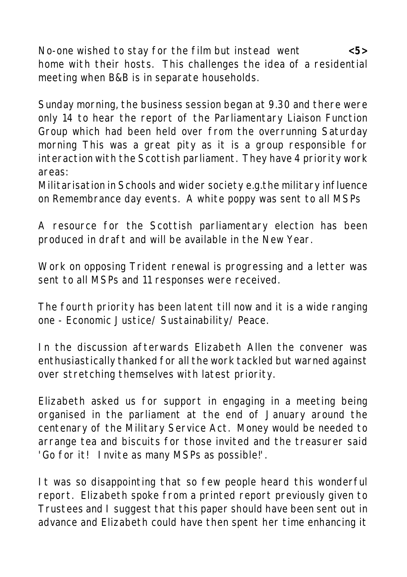No-one wished to stay for the film but instead went **<5>** home with their hosts. This challenges the idea of a residential meeting when B&B is in separate households.

Sunday morning, the business session began at 9.30 and there were only 14 to hear the report of the Parliamentary Liaison Function Group which had been held over from the overrunning Saturday morning This was a great pity as it is a group responsible for interaction with the Scottish parliament. They have 4 priority work areas:

Militarisation in Schools and wider society e.g.the military influence on Remembrance day events. A white poppy was sent to all MSPs

A resource for the Scottish parliamentary election has been produced in draft and will be available in the New Year.

Work on opposing Trident renewal is progressing and a letter was sent to all MSPs and 11 responses were received.

The fourth priority has been latent till now and it is a wide ranging one - Economic Justice/ Sustainability/ Peace.

In the discussion afterwards Elizabeth Allen the convener was enthusiastically thanked for all the work tackled but warned against over stretching themselves with latest priority.

Elizabeth asked us for support in engaging in a meeting being organised in the parliament at the end of January around the centenary of the Military Service Act. Money would be needed to arrange tea and biscuits for those invited and the treasurer said 'Go for it! Invite as many MSPs as possible!'.

It was so disappointing that so few people heard this wonderful report. Elizabeth spoke from a printed report previously given to Trustees and I suggest that this paper should have been sent out in advance and Elizabeth could have then spent her time enhancing it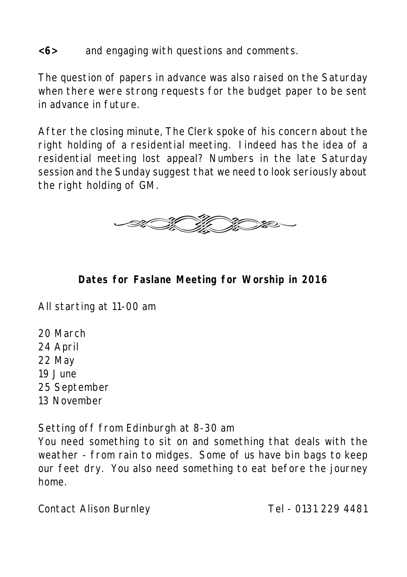#### **<6>** and engaging with questions and comments.

The question of papers in advance was also raised on the Saturday when there were strong requests for the budget paper to be sent in advance in future.

After the closing minute, The Clerk spoke of his concern about the right holding of a residential meeting. Iindeed has the idea of a residential meeting lost appeal? Numbers in the late Saturday session and the Sunday suggest that we need to look seriously about the right holding of GM.



**Dates for Faslane Meeting for Worship in 2016**

All starting at 11-00 am

- 20 March
- 24 April
- 22 May
- 19 June
- 25 September
- 13 November

Setting off from Edinburgh at 8-30 am

You need something to sit on and something that deals with the weather - from rain to midges. Some of us have bin bags to keep our feet dry. You also need something to eat before the journey home.

Contact Alison Burnley Tel - 0131 229 4481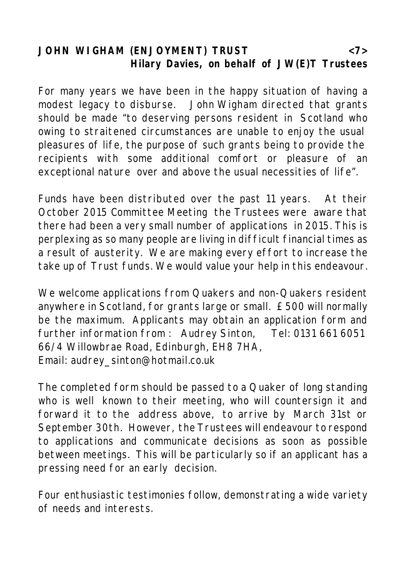### **JOHN WIGHAM (ENJOYMENT) TRUST <7> Hilary Davies, on behalf of JW(E)T Trustees**

For many years we have been in the happy situation of having a modest legacy to disburse. John Wigham directed that grants should be made "to deserving persons resident in Scotland who owing to straitened circumstances are unable to enjoy the usual pleasures of life, the purpose of such grants being to provide the recipients with some additional comfort or pleasure of an exceptional nature over and above the usual necessities of life".

Funds have been distributed over the past 11 years. At their October 2015 Committee Meeting the Trustees were aware that there had been a very small number of applications in 2015. This is perplexing as so many people are living in difficult financial times as a result of austerity. We are making every effort to increase the take up of Trust funds. We would value your help in this endeavour.

We welcome applications from Quakers and non-Quakers resident anywhere in Scotland, for grants large or small. £500 will normally be the maximum. Applicants may obtain an application form and further information from : Audrey Sinton, Tel: 0131 661 6051 66/4 Willowbrae Road, Edinburgh, EH8 7HA, Email: audrey\_sinton@hotmail.co.uk

The completed form should be passed to a Quaker of long standing who is well known to their meeting, who will countersign it and forward it to the address above, to arrive by March 31st or September 30th. However, the Trustees will endeavour to respond to applications and communicate decisions as soon as possible between meetings. This will be particularly so if an applicant has a pressing need for an early decision.

Four enthusiastic testimonies follow, demonstrating a wide variety of needs and interests.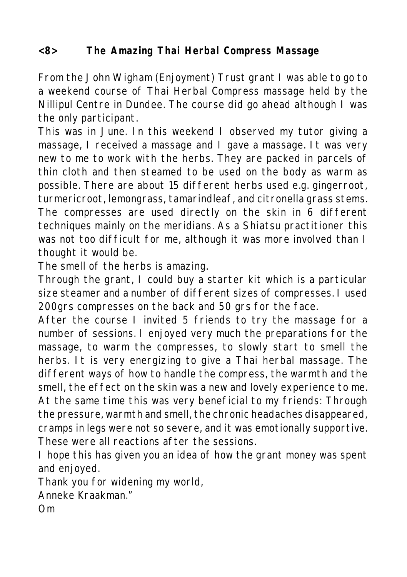#### **<8> The Amazing Thai Herbal Compress Massage**

From the John Wigham (Enjoyment) Trust grant I was able to go to a weekend course of Thai Herbal Compress massage held by the Nillipul Centre in Dundee. The course did go ahead although I was the only participant.

This was in June. In this weekend I observed my tutor giving a massage, I received a massage and I gave a massage. It was very new to me to work with the herbs. They are packed in parcels of thin cloth and then steamed to be used on the body as warm as possible. There are about 15 different herbs used e.g. gingerroot, turmericroot, lemongrass, tamarindleaf, and citronella grass stems. The compresses are used directly on the skin in 6 different techniques mainly on the meridians. As a Shiatsu practitioner this was not too difficult for me, although it was more involved than I thought it would be.

The smell of the herbs is amazing.

Through the grant, I could buy a starter kit which is a particular size steamer and a number of different sizes of compresses. I used 200grs compresses on the back and 50 grs for the face.

After the course I invited 5 friends to try the massage for a number of sessions. I enjoyed very much the preparations for the massage, to warm the compresses, to slowly start to smell the herbs. It is very energizing to give a Thai herbal massage. The different ways of how to handle the compress, the warmth and the smell, the effect on the skin was a new and lovely experience to me. At the same time this was very beneficial to my friends: Through the pressure, warmth and smell, the chronic headaches disappeared, cramps in legs were not so severe, and it was emotionally supportive. These were all reactions after the sessions.

I hope this has given you an idea of how the grant money was spent and enjoyed.

Thank you for widening my world,

Anneke Kraakman."

Om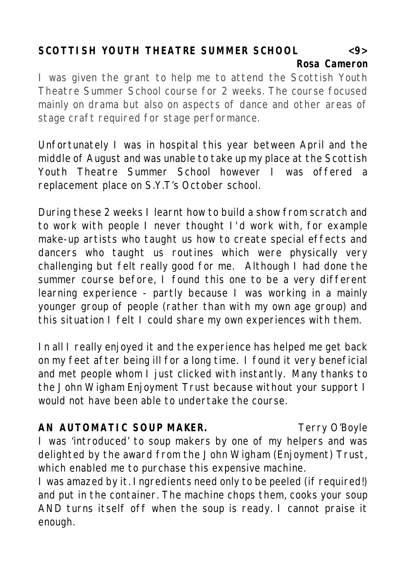# **SCOTTISH YOUTH THEATRE SUMMER SCHOOL <9> Rosa Cameron**

I was given the grant to help me to attend the Scottish Youth Theatre Summer School course for 2 weeks. The course focused mainly on drama but also on aspects of dance and other areas of stage craft required for stage performance.

Unfortunately I was in hospital this year between April and the middle of August and was unable to take up my place at the Scottish Youth Theatre Summer School however I was offered a replacement place on S.Y.T's October school.

During these 2 weeks I learnt how to build a show from scratch and to work with people I never thought I'd work with, for example make-up artists who taught us how to create special effects and dancers who taught us routines which were physically very challenging but felt really good for me. Although I had done the summer course before, I found this one to be a very different learning experience - partly because I was working in a mainly younger group of people (rather than with my own age group) and this situation I felt I could share my own experiences with them.

In all I really enjoyed it and the experience has helped me get back on my feet after being ill for a long time. I found it very beneficial and met people whom I just clicked with instantly. Many thanks to the John Wigham Enjoyment Trust because without your support I would not have been able to undertake the course.

AN AUTOMATIC SOUP MAKER. The Terry O'Boyle I was 'introduced' to soup makers by one of my helpers and was delighted by the award from the John Wigham (Enjoyment) Trust, which enabled me to purchase this expensive machine.

I was amazed by it. Ingredients need only to be peeled (if required!) and put in the container. The machine chops them, cooks your soup AND turns itself off when the soup is ready. I cannot praise it enough.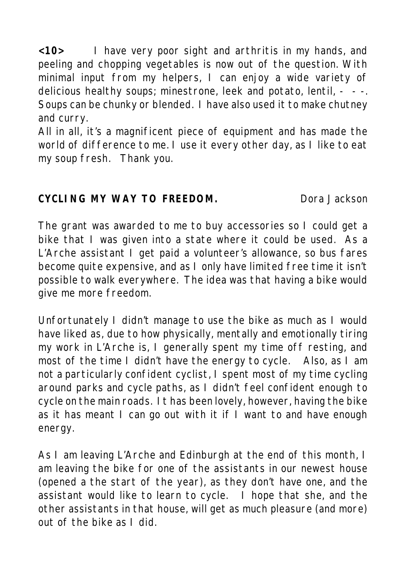**<10>** I have very poor sight and arthritis in my hands, and peeling and chopping vegetables is now out of the question. With minimal input from my helpers, I can enjoy a wide variety of delicious healthy soups; minestrone, leek and potato, lentil, - - -. Soups can be chunky or blended. I have also used it to make chutney and curry.

All in all, it's a magnificent piece of equipment and has made the world of difference to me. I use it every other day, as I like to eat my soup fresh. Thank you.

**CYCLING MY WAY TO FREEDOM.** Dora Jackson

The grant was awarded to me to buy accessories so I could get a bike that I was given into a state where it could be used. As a L'Arche assistant I get paid a volunteer's allowance, so bus fares become quite expensive, and as I only have limited free time it isn't possible to walk everywhere. The idea was that having a bike would give me more freedom.

Unfortunately I didn't manage to use the bike as much as I would have liked as, due to how physically, mentally and emotionally tiring my work in L'Arche is, I generally spent my time off resting, and most of the time I didn't have the energy to cycle. Also, as I am not a particularly confident cyclist, I spent most of my time cycling around parks and cycle paths, as I didn't feel confident enough to cycle on the main roads. It has been lovely, however, having the bike as it has meant I can go out with it if I want to and have enough energy.

As I am leaving L'Arche and Edinburgh at the end of this month, I am leaving the bike for one of the assistants in our newest house (opened a the start of the year), as they don't have one, and the assistant would like to learn to cycle. I hope that she, and the other assistants in that house, will get as much pleasure (and more) out of the bike as I did.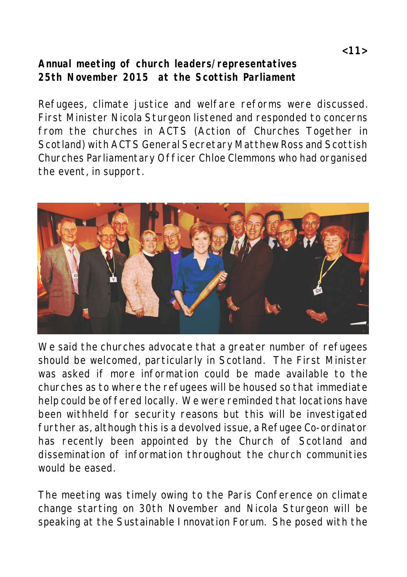# **Annual meeting of church leaders/representatives 25th November 2015 at the Scottish Parliament**

Refugees, climate justice and welfare reforms were discussed. First Minister Nicola Sturgeon listened and responded to concerns from the churches in ACTS (Action of Churches Together in Scotland) with ACTS General Secretary Matthew Ross and Scottish Churches Parliamentary Officer Chloe Clemmons who had organised the event, in support.



We said the churches advocate that a greater number of refugees should be welcomed, particularly in Scotland. The First Minister was asked if more information could be made available to the churches as to where the refugees will be housed so that immediate help could be offered locally. We were reminded that locations have been withheld for security reasons but this will be investigated further as, although this is a devolved issue, a Refugee Co-ordinator has recently been appointed by the Church of Scotland and dissemination of information throughout the church communities would be eased.

The meeting was timely owing to the Paris Conference on climate change starting on 30th November and Nicola Sturgeon will be speaking at the Sustainable Innovation Forum. She posed with the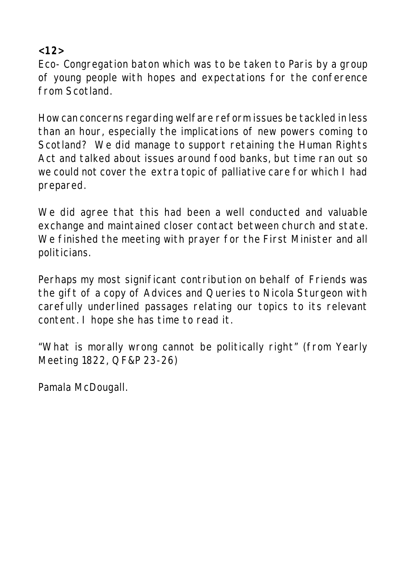**<12>**

Eco- Congregation baton which was to be taken to Paris by a group of young people with hopes and expectations for the conference from Scotland.

How can concerns regarding welfare reform issues be tackled in less than an hour, especially the implications of new powers coming to Scotland? We did manage to support retaining the Human Rights Act and talked about issues around food banks, but time ran out so we could not cover the extra topic of palliative care for which I had prepared.

We did agree that this had been a well conducted and valuable exchange and maintained closer contact between church and state. We finished the meeting with prayer for the First Minister and all politicians.

Perhaps my most significant contribution on behalf of Friends was the gift of a copy of Advices and Queries to Nicola Sturgeon with carefully underlined passages relating our topics to its relevant content. I hope she has time to read it.

"What is morally wrong cannot be politically right" (from Yearly Meeting 1822, QF&P 23-26)

Pamala McDougall.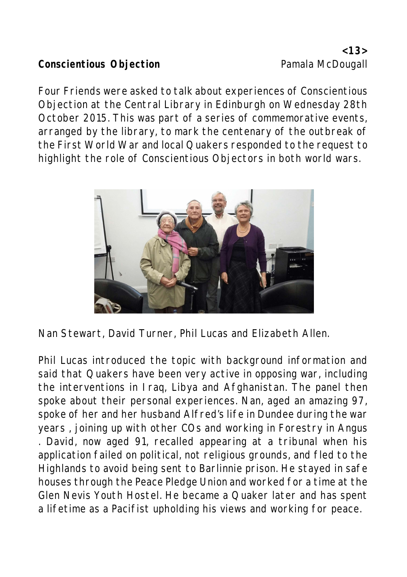## Conscientious Objection<br> **Conscientious Objection**

Four Friends were asked to talk about experiences of Conscientious Objection at the Central Library in Edinburgh on Wednesday 28th October 2015. This was part of a series of commemorative events, arranged by the library, to mark the centenary of the outbreak of the First World War and local Quakers responded to the request to highlight the role of Conscientious Objectors in both world wars.



Nan Stewart, David Turner, Phil Lucas and Elizabeth Allen.

Phil Lucas introduced the topic with background information and said that Quakers have been very active in opposing war, including the interventions in Iraq, Libya and Afghanistan. The panel then spoke about their personal experiences. Nan, aged an amazing 97, spoke of her and her husband Alfred's life in Dundee during the war years , joining up with other COs and working in Forestry in Angus . David, now aged 91, recalled appearing at a tribunal when his application failed on political, not religious grounds, and fled to the Highlands to avoid being sent to Barlinnie prison. He stayed in safe houses through the Peace Pledge Union and worked for a time at the Glen Nevis Youth Hostel. He became a Quaker later and has spent a lifetime as a Pacifist upholding his views and working for peace.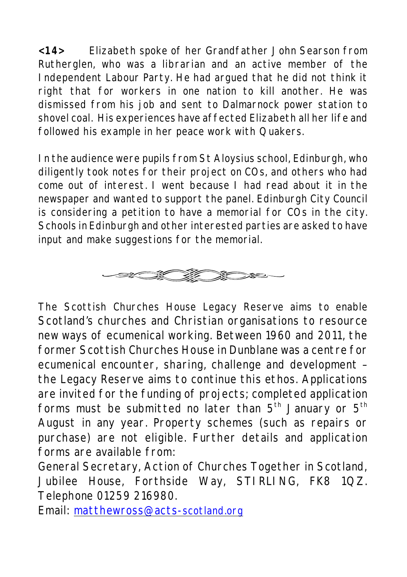**<14>** Elizabeth spoke of her Grandfather John Searson from Rutherglen, who was a librarian and an active member of the Independent Labour Party. He had argued that he did not think it right that for workers in one nation to kill another. He was dismissed from his job and sent to Dalmarnock power station to shovel coal. His experiences have affected Elizabeth all her life and followed his example in her peace work with Quakers.

In the audience were pupils from St Aloysius school, Edinburgh, who diligently took notes for their project on COs, and others who had come out of interest. I went because I had read about it in the newspaper and wanted to support the panel. Edinburgh City Council is considering a petition to have a memorial for COs in the city. Schools in Edinburgh and other interested parties are asked to have input and make suggestions for the memorial.



The Scottish Churches House Legacy Reserve aims to enable Scotland's churches and Christian organisations to resource new ways of ecumenical working. Between 1960 and 2011, the former Scottish Churches House in Dunblane was a centre for ecumenical encounter, sharing, challenge and development – the Legacy Reserve aims to continue this ethos. Applications are invited for the funding of projects; completed application forms must be submitted no later than  $5<sup>th</sup>$  January or  $5<sup>th</sup>$ August in any year. Property schemes (such as repairs or purchase) are not eligible. Further details and application forms are available from:

General Secretary, Action of Churches Together in Scotland, Jubilee House, Forthside Way, STIRLING, FK8 1QZ. Telephone 01259 216980.

Email: [matthewross@acts-](mailto:matthewross@acts-scotland.org)scotland.org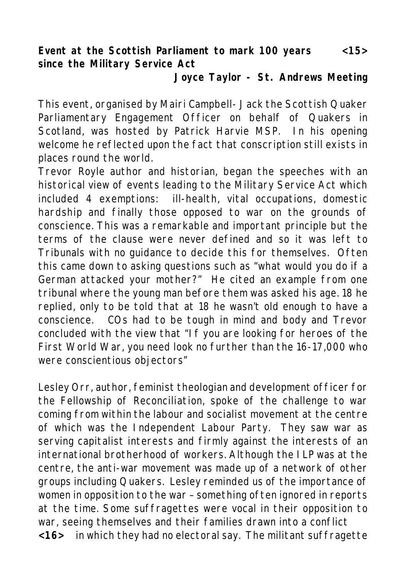**Event at the Scottish Parliament to mark 100 years <15> since the Military Service Act**

**Joyce Taylor - St. Andrews Meeting**

This event, organised by Mairi Campbell- Jack the Scottish Quaker Parliamentary Engagement Officer on behalf of Quakers in Scotland, was hosted by Patrick Harvie MSP. In his opening welcome he reflected upon the fact that conscription still exists in places round the world.

Trevor Royle author and historian, began the speeches with an historical view of events leading to the Military Service Act which included 4 exemptions: ill-health, vital occupations, domestic hardship and finally those opposed to war on the grounds of conscience. This was a remarkable and important principle but the terms of the clause were never defined and so it was left to Tribunals with no guidance to decide this for themselves. Often this came down to asking questions such as "what would you do if a German attacked your mother?" He cited an example from one tribunal where the young man before them was asked his age. 18 he replied, only to be told that at 18 he wasn't old enough to have a conscience. COs had to be tough in mind and body and Trevor concluded with the view that "If you are looking for heroes of the First World War, you need look no further than the 16-17,000 who were conscientious objectors"

Lesley Orr, author, feminist theologian and development officer for the Fellowship of Reconciliation, spoke of the challenge to war coming from within the labour and socialist movement at the centre of which was the Independent Labour Party. They saw war as serving capitalist interests and firmly against the interests of an international brotherhood of workers. Although the ILP was at the centre, the anti-war movement was made up of a network of other groups including Quakers. Lesley reminded us of the importance of women in opposition to the war – something often ignored in reports at the time. Some suffragettes were vocal in their opposition to war, seeing themselves and their families drawn into a conflict **<16>** in which they had no electoral say. The militant suffragette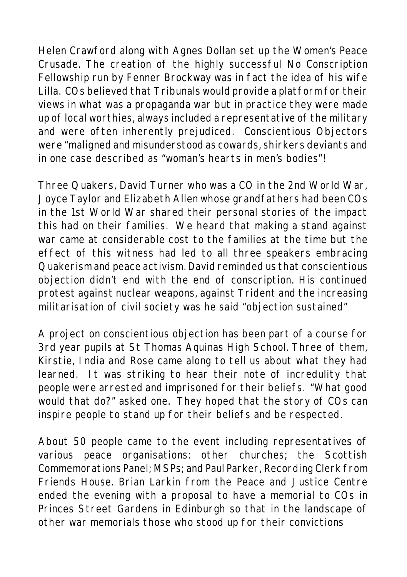Helen Crawford along with Agnes Dollan set up the Women's Peace Crusade. The creation of the highly successful No Conscription Fellowship run by Fenner Brockway was in fact the idea of his wife Lilla. COs believed that Tribunals would provide a platform for their views in what was a propaganda war but in practice they were made up of local worthies, always included a representative of the military and were often inherently prejudiced. Conscientious Objectors were "maligned and misunderstood as cowards, shirkers deviants and in one case described as "woman's hearts in men's bodies"!

Three Quakers, David Turner who was a CO in the 2nd World War, Joyce Taylor and Elizabeth Allen whose grandfathers had been COs in the 1st World War shared their personal stories of the impact this had on their families. We heard that making a stand against war came at considerable cost to the families at the time but the effect of this witness had led to all three speakers embracing Quakerism and peace activism. David reminded us that conscientious objection didn't end with the end of conscription. His continued protest against nuclear weapons, against Trident and the increasing militarisation of civil society was he said "objection sustained"

A project on conscientious objection has been part of a course for 3rd year pupils at St Thomas Aquinas High School. Three of them, Kirstie, India and Rose came along to tell us about what they had learned. It was striking to hear their note of incredulity that people were arrested and imprisoned for their beliefs. "What good would that do?" asked one. They hoped that the story of COs can inspire people to stand up for their beliefs and be respected.

About 50 people came to the event including representatives of various peace organisations: other churches; the Scottish Commemorations Panel; MSPs; and Paul Parker, Recording Clerk from Friends House. Brian Larkin from the Peace and Justice Centre ended the evening with a proposal to have a memorial to COs in Princes Street Gardens in Edinburgh so that in the landscape of other war memorials those who stood up for their convictions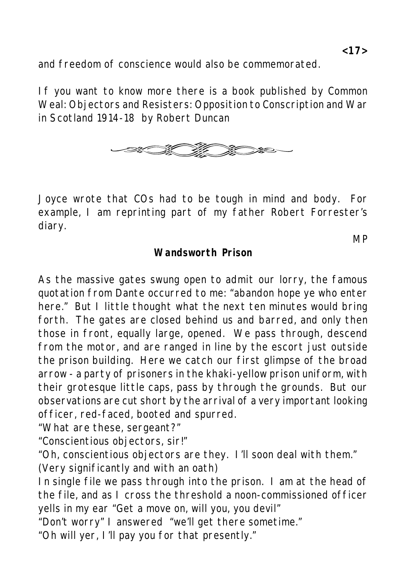and freedom of conscience would also be commemorated.

If you want to know more there is a book published by Common Weal: Objectors and Resisters: Opposition to Conscription and War in Scotland 1914-18 by Robert Duncan



Joyce wrote that COs had to be tough in mind and body. For example, I am reprinting part of my father Robert Forrester's diary.

**Wandsworth Prison**

As the massive gates swung open to admit our lorry, the famous quotation from Dante occurred to me: "abandon hope ye who enter here." But I little thought what the next ten minutes would bring forth. The gates are closed behind us and barred, and only then those in front, equally large, opened. We pass through, descend from the motor, and are ranged in line by the escort just outside the prison building. Here we catch our first glimpse of the broad arrow - a party of prisoners in the khaki-yellow prison uniform, with their grotesque little caps, pass by through the grounds. But our observations are cut short by the arrival of a very important looking officer, red-faced, booted and spurred.

"What are these, sergeant?"

"Conscientious objectors, sir!"

"Oh, conscientious objectors are they. I'll soon deal with them." (Very significantly and with an oath)

In single file we pass through into the prison. I am at the head of the file, and as I cross the threshold a noon-commissioned officer yells in my ear "Get a move on, will you, you devil"

"Don't worry" I answered "we'll get there sometime."

"Oh will yer, I'll pay you for that presently."

**MP**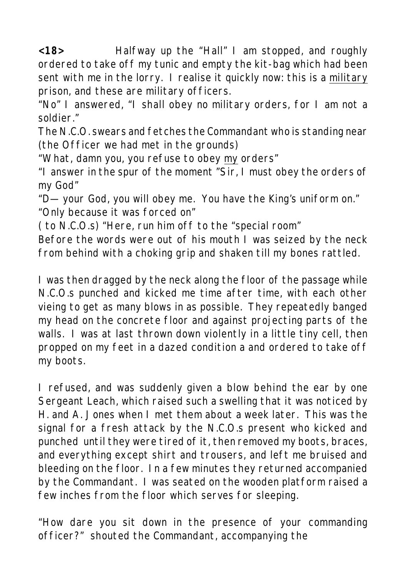**<18>** Halfway up the "Hall" I am stopped, and roughly ordered to take off my tunic and empty the kit-bag which had been sent with me in the lorry. I realise it quickly now: this is a military prison, and these are military officers.

"No" I answered, "I shall obey no military orders, for I am not a soldier."

The N.C.O. swears and fetches the Commandant who is standing near (the Officer we had met in the grounds)

"What, damn you, you refuse to obey my orders"

"I answer in the spur of the moment "Sir, I must obey the orders of my God"

"D— your God, you will obey me. You have the King's uniform on." "Only because it was forced on"

( to N.C.O.s) "Here, run him off to the "special room"

Before the words were out of his mouth I was seized by the neck from behind with a choking grip and shaken till my bones rattled.

I was then dragged by the neck along the floor of the passage while N.C.O.s punched and kicked me time after time, with each other vieing to get as many blows in as possible. They repeatedly banged my head on the concrete floor and against projecting parts of the walls. I was at last thrown down violently in a little tiny cell, then propped on my feet in a dazed condition a and ordered to take off my boots.

I refused, and was suddenly given a blow behind the ear by one Sergeant Leach, which raised such a swelling that it was noticed by H. and A. Jones when I met them about a week later. This was the signal for a fresh attack by the N.C.O.s present who kicked and punched until they were tired of it, then removed my boots, braces, and everything except shirt and trousers, and left me bruised and bleeding on the floor. In a few minutes they returned accompanied by the Commandant. I was seated on the wooden platform raised a few inches from the floor which serves for sleeping.

"How dare you sit down in the presence of your commanding officer?" shouted the Commandant, accompanying the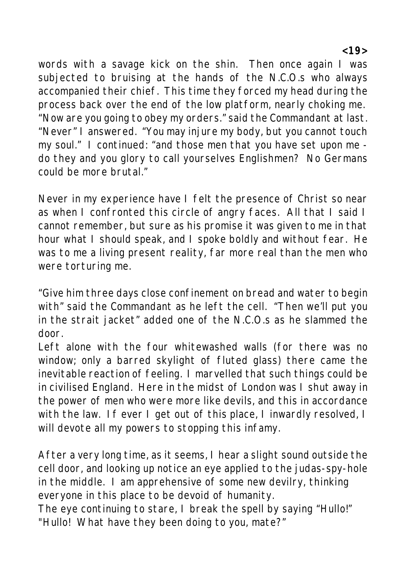words with a savage kick on the shin. Then once again I was subjected to bruising at the hands of the N.C.O.s who always accompanied their chief. This time they forced my head during the process back over the end of the low platform, nearly choking me. "Now are you going to obey my orders." said the Commandant at last. "Never" I answered. "You may injure my body, but you cannot touch my soul." I continued: "and those men that you have set upon me do they and you glory to call yourselves Englishmen? No Germans could be more brutal."

Never in my experience have I felt the presence of Christ so near as when I confronted this circle of angry faces. All that I said I cannot remember, but sure as his promise it was given to me in that hour what I should speak, and I spoke boldly and without fear. He was to me a living present reality, far more real than the men who were torturing me.

"Give him three days close confinement on bread and water to begin with" said the Commandant as he left the cell. "Then we'll put you in the strait jacket" added one of the N.C.O.s as he slammed the door.

Left alone with the four whitewashed walls (for there was no window; only a barred skylight of fluted glass) there came the inevitable reaction of feeling. I marvelled that such things could be in civilised England. Here in the midst of London was I shut away in the power of men who were more like devils, and this in accordance with the law. If ever I get out of this place, I inwardly resolved, I will devote all my powers to stopping this infamy.

After a very long time, as it seems, I hear a slight sound outside the cell door, and looking up notice an eye applied to the judas-spy-hole in the middle. I am apprehensive of some new devilry, thinking everyone in this place to be devoid of humanity.

The eye continuing to stare, I break the spell by saying "Hullo!" "Hullo! What have they been doing to you, mate?"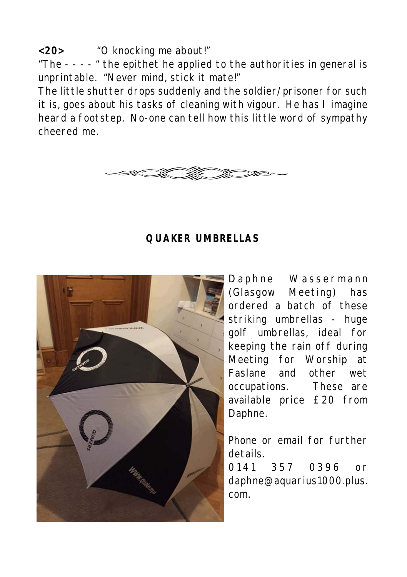**<20>** "O knocking me about!"

"The - - - - " the epithet he applied to the authorities in general is unprintable. "Never mind, stick it mate!"

The little shutter drops suddenly and the soldier/prisoner for such it is, goes about his tasks of cleaning with vigour. He has I imagine heard a footstep. No-one can tell how this little word of sympathy cheered me.



#### **QUAKER UMBRELLAS**



Daphne Wassermann (Glasgow Meeting) has ordered a batch of these striking umbrellas - huge golf umbrellas, ideal for keeping the rain off during Meeting for Worship at Faslane and other wet occupations. These are available price £20 from Daphne.

Phone or email for further details.

0 141 357 0396 or daphne@aquarius1000.plus. com.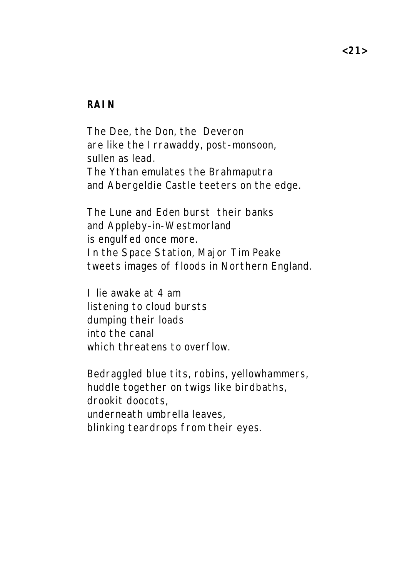#### **RAIN**

The Dee, the Don, the Deveron are like the Irrawaddy, post-monsoon, sullen as lead. The Ythan emulates the Brahmaputra and Abergeldie Castle teeters on the edge.

The Lune and Eden burst their banks and Appleby–in-Westmorland is engulfed once more. In the Space Station, Major Tim Peake tweets images of floods in Northern England.

I lie awake at 4 am listening to cloud bursts dumping their loads into the canal which threatens to overflow.

Bedraggled blue tits, robins, yellowhammers, huddle together on twigs like birdbaths, drookit doocots, underneath umbrella leaves, blinking teardrops from their eyes.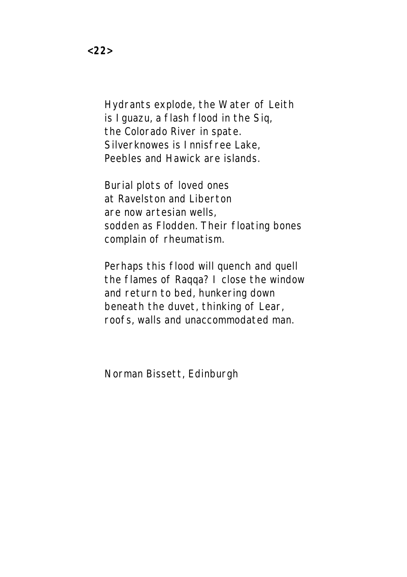Hydrants explode, the Water of Leith is Iguazu, a flash flood in the Siq, the Colorado River in spate. Silverknowes is Innisfree Lake, Peebles and Hawick are islands.

Burial plots of loved ones at Ravelston and Liberton are now artesian wells, sodden as Flodden. Their floating bones complain of rheumatism.

Perhaps this flood will quench and quell the flames of Raqqa? I close the window and return to bed, hunkering down beneath the duvet, thinking of Lear, roofs, walls and unaccommodated man.

Norman Bissett, Edinburgh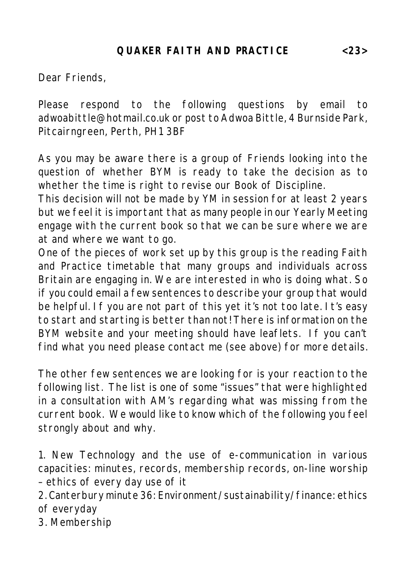Dear Friends,

Please respond to the following questions by email to adwoabittle@hotmail.co.uk or post to Adwoa Bittle, 4 Burnside Park, Pitcairngreen, Perth, PH1 3BF

As you may be aware there is a group of Friends looking into the question of whether BYM is ready to take the decision as to whether the time is right to revise our Book of Discipline.

This decision will not be made by YM in session for at least 2 years but we feel it is important that as many people in our Yearly Meeting engage with the current book so that we can be sure where we are at and where we want to go.

One of the pieces of work set up by this group is the reading Faith and Practice timetable that many groups and individuals across Britain are engaging in. We are interested in who is doing what. So if you could email a few sentences to describe your group that would be helpful. If you are not part of this yet it's not too late. It's easy to start and starting is better than not! There is information on the BYM website and your meeting should have leaflets. If you can't find what you need please contact me (see above) for more details.

The other few sentences we are looking for is your reaction to the following list. The list is one of some "issues" that were highlighted in a consultation with AM's regarding what was missing from the current book. We would like to know which of the following you feel strongly about and why.

1. New Technology and the use of e-communication in various capacities: minutes, records, membership records, on-line worship – ethics of every day use of it

2. Canterbury minute 36: Environment/sustainability/finance: ethics of everyday

3. Membership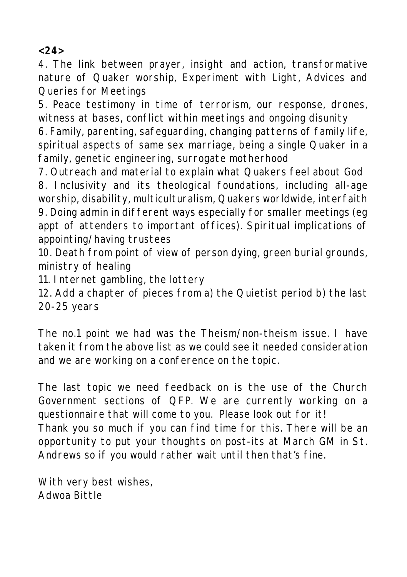**<24>**

4. The link between prayer, insight and action, transformative nature of Quaker worship, Experiment with Light, Advices and Queries for Meetings

5. Peace testimony in time of terrorism, our response, drones, witness at bases, conflict within meetings and ongoing disunity

6. Family, parenting, safeguarding, changing patterns of family life, spiritual aspects of same sex marriage, being a single Quaker in a family, genetic engineering, surrogate motherhood

7. Outreach and material to explain what Quakers feel about God 8. Inclusivity and its theological foundations, including all-age worship, disability, multiculturalism, Quakers worldwide, interfaith 9. Doing admin in different ways especially for smaller meetings (eg appt of attenders to important offices). Spiritual implications of appointing/having trustees

10. Death from point of view of person dying, green burial grounds, ministry of healing

11. Internet gambling, the lottery

12. Add a chapter of pieces from a) the Quietist period b) the last 20-25 years

The no.1 point we had was the Theism/non-theism issue. I have taken it from the above list as we could see it needed consideration and we are working on a conference on the topic.

The last topic we need feedback on is the use of the Church Government sections of QFP. We are currently working on a questionnaire that will come to you. Please look out for it! Thank you so much if you can find time for this. There will be an opportunity to put your thoughts on post-its at March GM in St. Andrews so if you would rather wait until then that's fine.

With very best wishes, Adwoa Bittle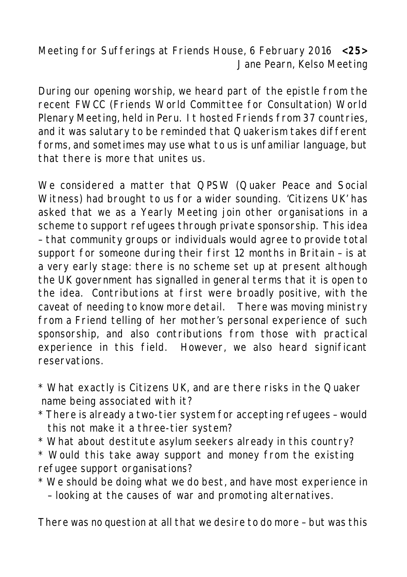Meeting for Sufferings at Friends House, 6 February 2016 **<25>** Jane Pearn, Kelso Meeting

During our opening worship, we heard part of the epistle from the recent FWCC (Friends World Committee for Consultation) World Plenary Meeting, held in Peru. It hosted Friends from 37 countries, and it was salutary to be reminded that Quakerism takes different forms, and sometimes may use what to us is unfamiliar language, but that there is more that unites us.

We considered a matter that QPSW (Quaker Peace and Social Witness) had brought to us for a wider sounding. 'Citizens UK' has asked that we as a Yearly Meeting join other organisations in a scheme to support refugees through private sponsorship. This idea – that community groups or individuals would agree to provide total support for someone during their first 12 months in Britain – is at a very early stage: there is no scheme set up at present although the UK government has signalled in general terms that it is open to the idea. Contributions at first were broadly positive, with the caveat of needing to know more detail. There was moving ministry from a Friend telling of her mother's personal experience of such sponsorship, and also contributions from those with practical experience in this field. However, we also heard significant reservations.

- \* What exactly is Citizens UK, and are there risks in the Quaker name being associated with it?
- \* There is already a two-tier system for accepting refugees would this not make it a three-tier system?
- \* What about destitute asylum seekers already in this country?
- \* Would this take away support and money from the existing refugee support organisations?
- \* We should be doing what we do best, and have most experience in – looking at the causes of war and promoting alternatives.

There was no question at all that we desire to do more – but was this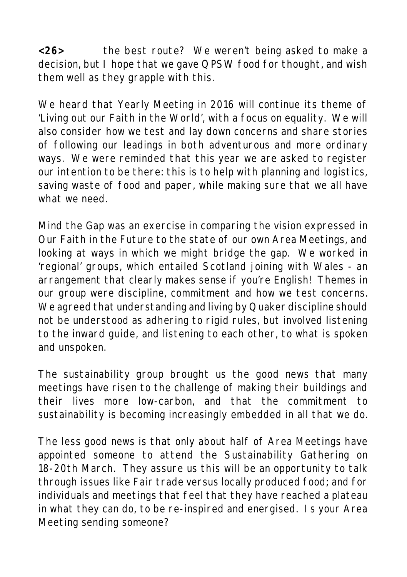**<26>** the best route? We weren't being asked to make a decision, but I hope that we gave QPSW food for thought, and wish them well as they grapple with this.

We heard that Yearly Meeting in 2016 will continue its theme of 'Living out our Faith in the World', with a focus on equality. We will also consider how we test and lay down concerns and share stories of following our leadings in both adventurous and more ordinary ways. We were reminded that this year we are asked to register our intention to be there: this is to help with planning and logistics, saving waste of food and paper, while making sure that we all have what we need.

Mind the Gap was an exercise in comparing the vision expressed in Our Faith in the Future to the state of our own Area Meetings, and looking at ways in which we might bridge the gap. We worked in 'regional' groups, which entailed Scotland joining with Wales - an arrangement that clearly makes sense if you're English! Themes in our group were discipline, commitment and how we test concerns. We agreed that understanding and living by Quaker discipline should not be understood as adhering to rigid rules, but involved listening to the inward guide, and listening to each other, to what is spoken and unspoken.

The sustainability group brought us the good news that many meetings have risen to the challenge of making their buildings and their lives more low-carbon, and that the commitment to sustainability is becoming increasingly embedded in all that we do.

The less good news is that only about half of Area Meetings have appointed someone to attend the Sustainability Gathering on 18-20th March. They assure us this will be an opportunity to talk through issues like Fair trade versus locally produced food; and for individuals and meetings that feel that they have reached a plateau in what they can do, to be re-inspired and energised. Is your Area Meeting sending someone?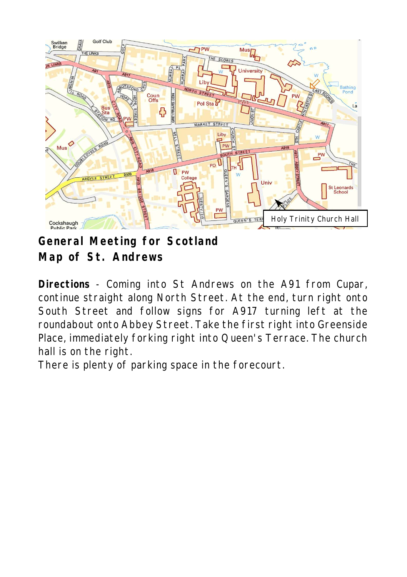

**General Meeting for Scotland Map of St. Andrews**

**Directions** - Coming into St Andrews on the A91 from Cupar, continue straight along North Street. At the end, turn right onto South Street and follow signs for A917 turning left at the roundabout onto Abbey Street. Take the first right into Greenside Place, immediately forking right into Queen's Terrace. The church hall is on the right.

There is plenty of parking space in the forecourt.